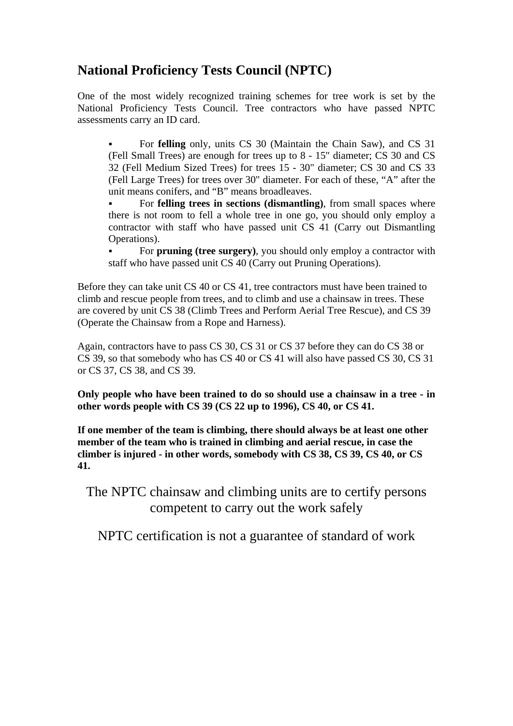## **National Proficiency Tests Council (NPTC)**

One of the most widely recognized training schemes for tree work is set by the National Proficiency Tests Council. Tree contractors who have passed NPTC assessments carry an ID card.

 For **felling** only, units CS 30 (Maintain the Chain Saw), and CS 31 (Fell Small Trees) are enough for trees up to 8 - 15" diameter; CS 30 and CS 32 (Fell Medium Sized Trees) for trees 15 - 30" diameter; CS 30 and CS 33 (Fell Large Trees) for trees over 30" diameter. For each of these, "A" after the unit means conifers, and "B" means broadleaves.

 For **felling trees in sections (dismantling)**, from small spaces where there is not room to fell a whole tree in one go, you should only employ a contractor with staff who have passed unit CS 41 (Carry out Dismantling Operations).

 For **pruning (tree surgery)**, you should only employ a contractor with staff who have passed unit CS 40 (Carry out Pruning Operations).

Before they can take unit CS 40 or CS 41, tree contractors must have been trained to climb and rescue people from trees, and to climb and use a chainsaw in trees. These are covered by unit CS 38 (Climb Trees and Perform Aerial Tree Rescue), and CS 39 (Operate the Chainsaw from a Rope and Harness).

Again, contractors have to pass CS 30, CS 31 or CS 37 before they can do CS 38 or CS 39, so that somebody who has CS 40 or CS 41 will also have passed CS 30, CS 31 or CS 37, CS 38, and CS 39.

**Only people who have been trained to do so should use a chainsaw in a tree - in other words people with CS 39 (CS 22 up to 1996), CS 40, or CS 41.** 

**If one member of the team is climbing, there should always be at least one other member of the team who is trained in climbing and aerial rescue, in case the climber is injured - in other words, somebody with CS 38, CS 39, CS 40, or CS 41.** 

The NPTC chainsaw and climbing units are to certify persons competent to carry out the work safely

NPTC certification is not a guarantee of standard of work